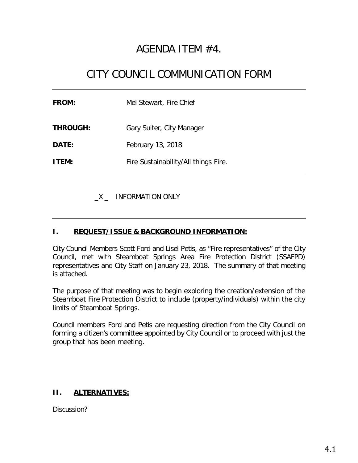## AGENDA ITEM #4.

# CITY COUNCIL COMMUNICATION FORM

| <b>FROM:</b>    | Mel Stewart, Fire Chief              |
|-----------------|--------------------------------------|
| <b>THROUGH:</b> | Gary Suiter, City Manager            |
| <b>DATE:</b>    | February 13, 2018                    |
| <b>ITEM:</b>    | Fire Sustainability/All things Fire. |
|                 |                                      |

\_X \_ INFORMATION ONLY

### **I. REQUEST/ISSUE & BACKGROUND INFORMATION:**

City Council Members Scott Ford and Lisel Petis, as "Fire representatives" of the City Council, met with Steamboat Springs Area Fire Protection District (SSAFPD) representatives and City Staff on January 23, 2018. The summary of that meeting is attached.

The purpose of that meeting was to begin exploring the creation/extension of the Steamboat Fire Protection District to include (property/individuals) within the city limits of Steamboat Springs.

Council members Ford and Petis are requesting direction from the City Council on forming a citizen's committee appointed by City Council or to proceed with just the group that has been meeting.

### **II. ALTERNATIVES:**

Discussion?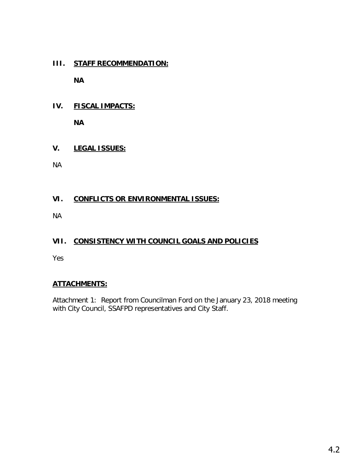### **III. STAFF RECOMMENDATION:**

**NA**

**IV. FISCAL IMPACTS:**

**NA**

### **V. LEGAL ISSUES:**

NA

### **VI. CONFLICTS OR ENVIRONMENTAL ISSUES:**

NA

### **VII. CONSISTENCY WITH COUNCIL GOALS AND POLICIES**

Yes

### **ATTACHMENTS:**

Attachment 1: Report from Councilman Ford on the January 23, 2018 meeting with City Council, SSAFPD representatives and City Staff.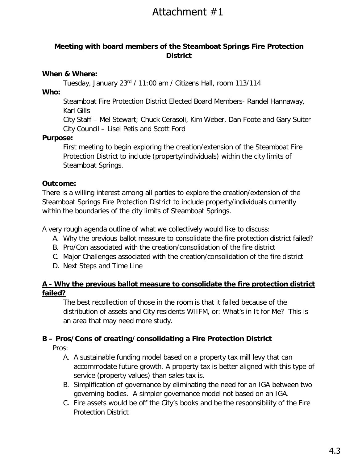# Attachment #1

### **Meeting with board members of the Steamboat Springs Fire Protection District**

### **When & Where:**

Tuesday, January 23rd / 11:00 am / Citizens Hall, room 113/114

**Who:** 

Steamboat Fire Protection District Elected Board Members- Randel Hannaway, Karl Gills

City Staff – Mel Stewart; Chuck Cerasoli, Kim Weber, Dan Foote and Gary Suiter City Council – Lisel Petis and Scott Ford

### **Purpose:**

First meeting to begin exploring the creation/extension of the Steamboat Fire Protection District to include (property/individuals) within the city limits of Steamboat Springs.

### **Outcome:**

There is a willing interest among all parties to explore the creation/extension of the Steamboat Springs Fire Protection District to include property/individuals currently within the boundaries of the city limits of Steamboat Springs.

A very rough agenda outline of what we collectively would like to discuss:

- A. Why the previous ballot measure to consolidate the fire protection district failed?
- B. Pro/Con associated with the creation/consolidation of the fire district
- C. Major Challenges associated with the creation/consolidation of the fire district
- D. Next Steps and Time Line

### **A - Why the previous ballot measure to consolidate the fire protection district failed?**

The best recollection of those in the room is that it failed because of the distribution of assets and City residents WIIFM, or: What's in It for Me? This is an area that may need more study.

### **B – Pros/Cons of creating/consolidating a Fire Protection District**

Pros:

- A. A sustainable funding model based on a property tax mill levy that can accommodate future growth. A property tax is better aligned with this type of service (property values) than sales tax is.
- B. Simplification of governance by eliminating the need for an IGA between two governing bodies. A simpler governance model not based on an IGA.
- C. Fire assets would be off the City's books and be the responsibility of the Fire Protection District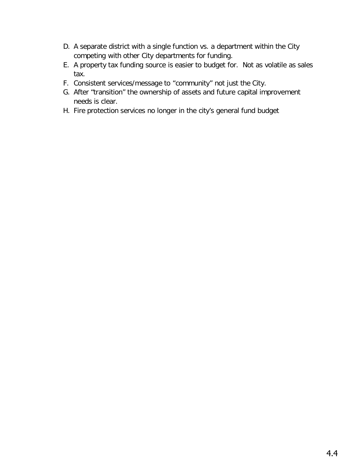- D. A separate district with a single function vs. a department within the City competing with other City departments for funding.
- E. A property tax funding source is easier to budget for. Not as volatile as sales tax.
- F. Consistent services/message to "community" not just the City.
- G. After "transition" the ownership of assets and future capital improvement needs is clear.
- H. Fire protection services no longer in the city's general fund budget